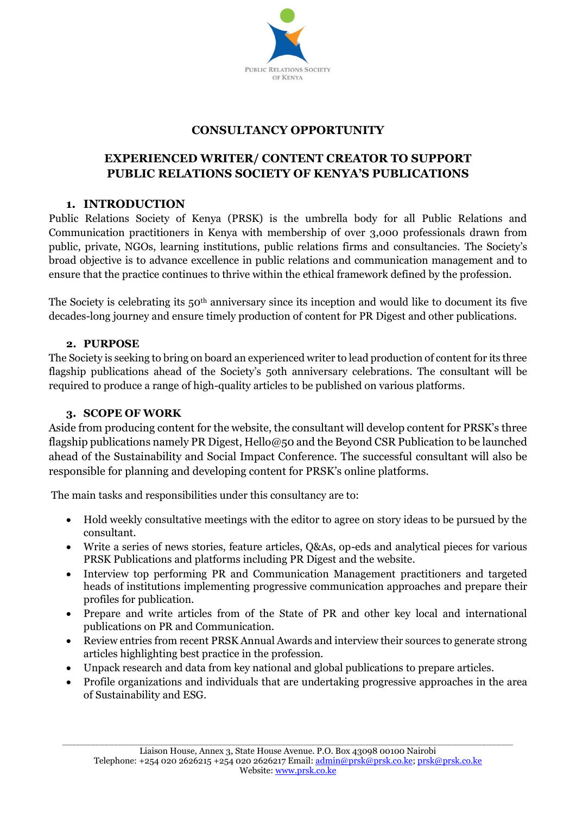

# **CONSULTANCY OPPORTUNITY**

# **EXPERIENCED WRITER/ CONTENT CREATOR TO SUPPORT PUBLIC RELATIONS SOCIETY OF KENYA'S PUBLICATIONS**

# **1. INTRODUCTION**

Public Relations Society of Kenya (PRSK) is the umbrella body for all Public Relations and Communication practitioners in Kenya with membership of over 3,000 professionals drawn from public, private, NGOs, learning institutions, public relations firms and consultancies. The Society's broad objective is to advance excellence in public relations and communication management and to ensure that the practice continues to thrive within the ethical framework defined by the profession.

The Society is celebrating its 50<sup>th</sup> anniversary since its inception and would like to document its five decades-long journey and ensure timely production of content for PR Digest and other publications.

## **2. PURPOSE**

The Society is seeking to bring on board an experienced writer to lead production of content for its three flagship publications ahead of the Society's 5oth anniversary celebrations. The consultant will be required to produce a range of high-quality articles to be published on various platforms.

## **3. SCOPE OF WORK**

Aside from producing content for the website, the consultant will develop content for PRSK's three flagship publications namely PR Digest, Hello@50 and the Beyond CSR Publication to be launched ahead of the Sustainability and Social Impact Conference. The successful consultant will also be responsible for planning and developing content for PRSK's online platforms.

The main tasks and responsibilities under this consultancy are to:

- Hold weekly consultative meetings with the editor to agree on story ideas to be pursued by the consultant.
- Write a series of news stories, feature articles, Q&As, op-eds and analytical pieces for various PRSK Publications and platforms including PR Digest and the website.
- Interview top performing PR and Communication Management practitioners and targeted heads of institutions implementing progressive communication approaches and prepare their profiles for publication.
- Prepare and write articles from of the State of PR and other key local and international publications on PR and Communication.
- Review entries from recent PRSK Annual Awards and interview their sources to generate strong articles highlighting best practice in the profession.
- Unpack research and data from key national and global publications to prepare articles.
- Profile organizations and individuals that are undertaking progressive approaches in the area of Sustainability and ESG.